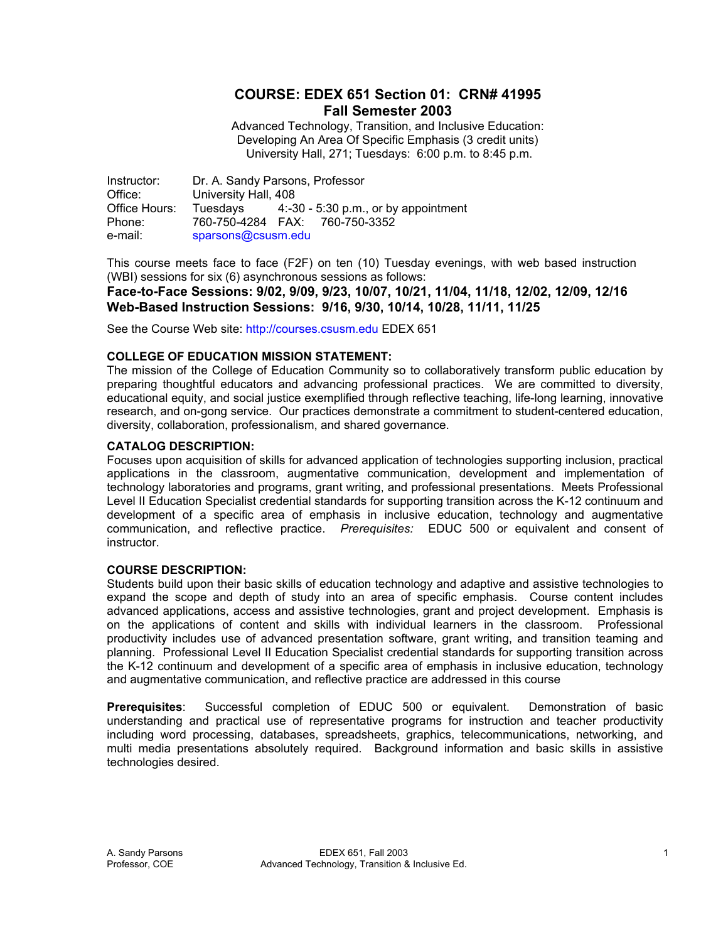## **COURSE: EDEX 651 Section 01: CRN# 41995 Fall Semester 2003**

Advanced Technology, Transition, and Inclusive Education: Developing An Area Of Specific Emphasis (3 credit units) University Hall, 271; Tuesdays: 6:00 p.m. to 8:45 p.m.

Instructor: Dr. A. Sandy Parsons, Professor Office: University Hall, 408 Office Hours: Tuesdays 4:-30 - 5:30 p.m., or by appointment Phone: 760-750-4284 FAX: 760-750-3352 e-mail: sparsons@csusm.edu

This course meets face to face (F2F) on ten (10) Tuesday evenings, with web based instruction (WBI) sessions for six (6) asynchronous sessions as follows:

**Face-to-Face Sessions: 9/02, 9/09, 9/23, 10/07, 10/21, 11/04, 11/18, 12/02, 12/09, 12/16 Web-Based Instruction Sessions: 9/16, 9/30, 10/14, 10/28, 11/11, 11/25** 

See the Course Web site: http://courses.csusm.edu EDEX 651

#### **COLLEGE OF EDUCATION MISSION STATEMENT:**

The mission of the College of Education Community so to collaboratively transform public education by preparing thoughtful educators and advancing professional practices. We are committed to diversity, educational equity, and social justice exemplified through reflective teaching, life-long learning, innovative research, and on-gong service. Our practices demonstrate a commitment to student-centered education, diversity, collaboration, professionalism, and shared governance.

#### **CATALOG DESCRIPTION:**

Focuses upon acquisition of skills for advanced application of technologies supporting inclusion, practical applications in the classroom, augmentative communication, development and implementation of technology laboratories and programs, grant writing, and professional presentations. Meets Professional Level II Education Specialist credential standards for supporting transition across the K-12 continuum and development of a specific area of emphasis in inclusive education, technology and augmentative communication, and reflective practice. *Prerequisites:* EDUC 500 or equivalent and consent of instructor.

#### **COURSE DESCRIPTION:**

Students build upon their basic skills of education technology and adaptive and assistive technologies to expand the scope and depth of study into an area of specific emphasis. Course content includes advanced applications, access and assistive technologies, grant and project development. Emphasis is on the applications of content and skills with individual learners in the classroom. Professional productivity includes use of advanced presentation software, grant writing, and transition teaming and planning. Professional Level II Education Specialist credential standards for supporting transition across the K-12 continuum and development of a specific area of emphasis in inclusive education, technology and augmentative communication, and reflective practice are addressed in this course

**Prerequisites**: Successful completion of EDUC 500 or equivalent. Demonstration of basic understanding and practical use of representative programs for instruction and teacher productivity including word processing, databases, spreadsheets, graphics, telecommunications, networking, and multi media presentations absolutely required. Background information and basic skills in assistive technologies desired.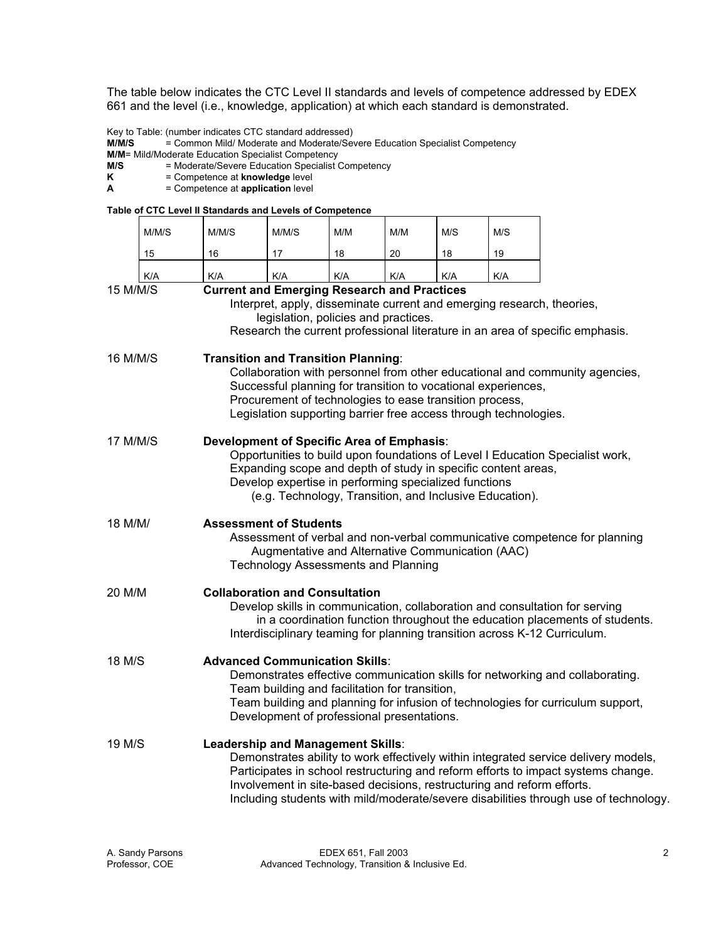The table below indicates the CTC Level II standards and levels of competence addressed by EDEX 661 and the level (i.e., knowledge, application) at which each standard is demonstrated.

Key to Table: (number indicates CTC standard addressed)<br>M/M/S = Common Mild/ Moderate and Moderate/Sev

= Common Mild/ Moderate and Moderate/Severe Education Specialist Competency

**M/M**= Mild/Moderate Education Specialist Competency

**M/S** = Moderate/Severe Education Specialist Competency<br>**K** = Competence at **knowledge** level

**K** = Competence at **knowledge** level<br> **A** = Competence at **application** level

 $=$  Competence at **application** level

#### **Table of CTC Level II Standards and Levels of Competence**

|                                                                                                                                                                                                                                                                   | M/M/S                                                                                                                                                                                                        | M/M/S                                                                                                                                                                                                                                                                                                                     | M/M/S                                                                  | M/M | M/M | M/S | M/S |                                                                                                                                                                                                                                                                  |
|-------------------------------------------------------------------------------------------------------------------------------------------------------------------------------------------------------------------------------------------------------------------|--------------------------------------------------------------------------------------------------------------------------------------------------------------------------------------------------------------|---------------------------------------------------------------------------------------------------------------------------------------------------------------------------------------------------------------------------------------------------------------------------------------------------------------------------|------------------------------------------------------------------------|-----|-----|-----|-----|------------------------------------------------------------------------------------------------------------------------------------------------------------------------------------------------------------------------------------------------------------------|
|                                                                                                                                                                                                                                                                   | 15                                                                                                                                                                                                           | 16                                                                                                                                                                                                                                                                                                                        | 17                                                                     | 18  | 20  | 18  | 19  |                                                                                                                                                                                                                                                                  |
|                                                                                                                                                                                                                                                                   | K/A                                                                                                                                                                                                          | K/A                                                                                                                                                                                                                                                                                                                       | K/A                                                                    | K/A | K/A | K/A | K/A |                                                                                                                                                                                                                                                                  |
| <b>Current and Emerging Research and Practices</b><br>15 M/M/S<br>Interpret, apply, disseminate current and emerging research, theories,<br>legislation, policies and practices.<br>Research the current professional literature in an area of specific emphasis. |                                                                                                                                                                                                              |                                                                                                                                                                                                                                                                                                                           |                                                                        |     |     |     |     |                                                                                                                                                                                                                                                                  |
| 16 M/M/S                                                                                                                                                                                                                                                          |                                                                                                                                                                                                              | <b>Transition and Transition Planning:</b><br>Collaboration with personnel from other educational and community agencies,<br>Successful planning for transition to vocational experiences,<br>Procurement of technologies to ease transition process,<br>Legislation supporting barrier free access through technologies. |                                                                        |     |     |     |     |                                                                                                                                                                                                                                                                  |
| 17 M/M/S                                                                                                                                                                                                                                                          |                                                                                                                                                                                                              | Development of Specific Area of Emphasis:<br>Opportunities to build upon foundations of Level I Education Specialist work,<br>Expanding scope and depth of study in specific content areas,<br>Develop expertise in performing specialized functions<br>(e.g. Technology, Transition, and Inclusive Education).           |                                                                        |     |     |     |     |                                                                                                                                                                                                                                                                  |
| 18 M/M/                                                                                                                                                                                                                                                           | <b>Assessment of Students</b><br>Assessment of verbal and non-verbal communicative competence for planning<br>Augmentative and Alternative Communication (AAC)<br><b>Technology Assessments and Planning</b> |                                                                                                                                                                                                                                                                                                                           |                                                                        |     |     |     |     |                                                                                                                                                                                                                                                                  |
| 20 M/M                                                                                                                                                                                                                                                            |                                                                                                                                                                                                              | <b>Collaboration and Consultation</b><br>Develop skills in communication, collaboration and consultation for serving<br>in a coordination function throughout the education placements of students.<br>Interdisciplinary teaming for planning transition across K-12 Curriculum.                                          |                                                                        |     |     |     |     |                                                                                                                                                                                                                                                                  |
| 18 M/S                                                                                                                                                                                                                                                            |                                                                                                                                                                                                              | <b>Advanced Communication Skills:</b><br>Demonstrates effective communication skills for networking and collaborating.<br>Team building and facilitation for transition,<br>Team building and planning for infusion of technologies for curriculum support,<br>Development of professional presentations.                 |                                                                        |     |     |     |     |                                                                                                                                                                                                                                                                  |
| 19 M/S                                                                                                                                                                                                                                                            |                                                                                                                                                                                                              | Leadership and Management Skills:                                                                                                                                                                                                                                                                                         | Involvement in site-based decisions, restructuring and reform efforts. |     |     |     |     | Demonstrates ability to work effectively within integrated service delivery models,<br>Participates in school restructuring and reform efforts to impact systems change.<br>Including students with mild/moderate/severe disabilities through use of technology. |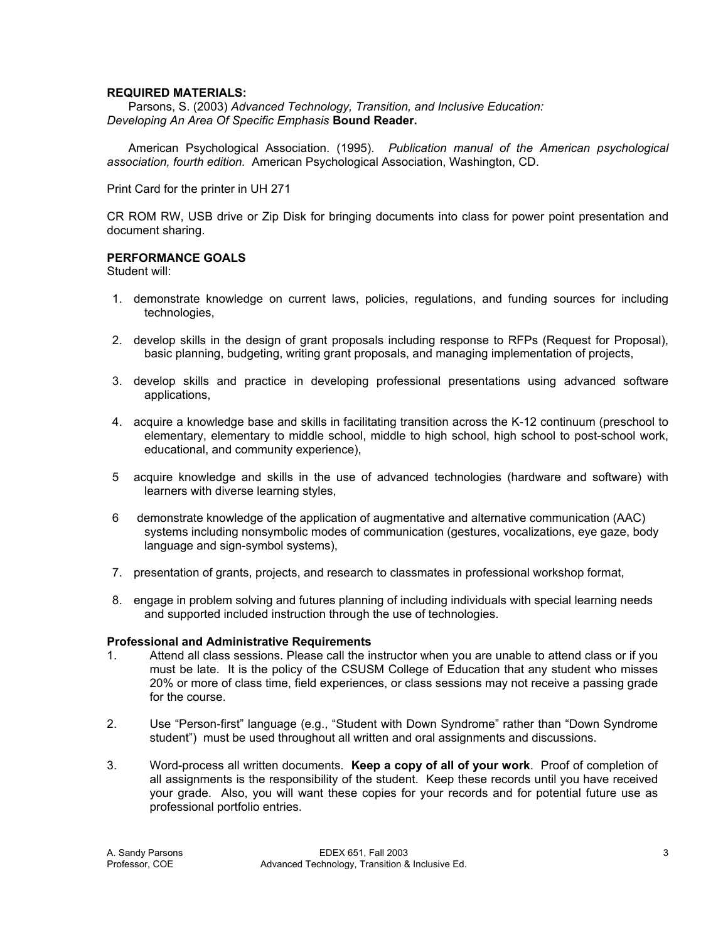#### **REQUIRED MATERIALS:**

 Parsons, S. (2003) *Advanced Technology, Transition, and Inclusive Education: Developing An Area Of Specific Emphasis* **Bound Reader.** 

 American Psychological Association. (1995). *Publication manual of the American psychological association, fourth edition.* American Psychological Association, Washington, CD.

Print Card for the printer in UH 271

CR ROM RW, USB drive or Zip Disk for bringing documents into class for power point presentation and document sharing.

#### **PERFORMANCE GOALS**

Student will:

- 1. demonstrate knowledge on current laws, policies, regulations, and funding sources for including technologies,
- 2. develop skills in the design of grant proposals including response to RFPs (Request for Proposal), basic planning, budgeting, writing grant proposals, and managing implementation of projects,
- 3. develop skills and practice in developing professional presentations using advanced software applications,
- 4. acquire a knowledge base and skills in facilitating transition across the K-12 continuum (preschool to elementary, elementary to middle school, middle to high school, high school to post-school work, educational, and community experience),
- 5 acquire knowledge and skills in the use of advanced technologies (hardware and software) with learners with diverse learning styles,
- 6 demonstrate knowledge of the application of augmentative and alternative communication (AAC) systems including nonsymbolic modes of communication (gestures, vocalizations, eye gaze, body language and sign-symbol systems),
- 7. presentation of grants, projects, and research to classmates in professional workshop format,
- 8. engage in problem solving and futures planning of including individuals with special learning needs and supported included instruction through the use of technologies.

#### **Professional and Administrative Requirements**

- 1. Attend all class sessions. Please call the instructor when you are unable to attend class or if you must be late. It is the policy of the CSUSM College of Education that any student who misses 20% or more of class time, field experiences, or class sessions may not receive a passing grade for the course.
- 2. Use "Person-first" language (e.g., "Student with Down Syndrome" rather than "Down Syndrome student") must be used throughout all written and oral assignments and discussions.
- 3. Word-process all written documents. **Keep a copy of all of your work**. Proof of completion of all assignments is the responsibility of the student. Keep these records until you have received your grade. Also, you will want these copies for your records and for potential future use as professional portfolio entries.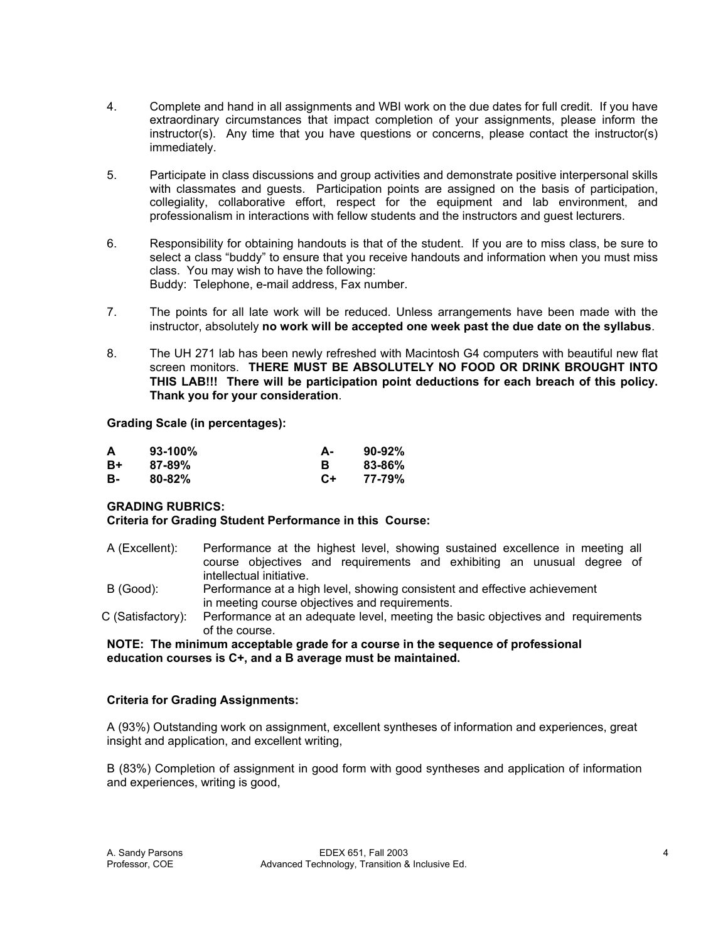- 4. Complete and hand in all assignments and WBI work on the due dates for full credit. If you have extraordinary circumstances that impact completion of your assignments, please inform the instructor(s). Any time that you have questions or concerns, please contact the instructor(s) immediately.
- 5. Participate in class discussions and group activities and demonstrate positive interpersonal skills with classmates and guests. Participation points are assigned on the basis of participation, collegiality, collaborative effort, respect for the equipment and lab environment, and professionalism in interactions with fellow students and the instructors and guest lecturers.
- 6. Responsibility for obtaining handouts is that of the student. If you are to miss class, be sure to select a class "buddy" to ensure that you receive handouts and information when you must miss class. You may wish to have the following: Buddy: Telephone, e-mail address, Fax number.
- 7. The points for all late work will be reduced. Unless arrangements have been made with the instructor, absolutely **no work will be accepted one week past the due date on the syllabus**.
- 8. The UH 271 lab has been newly refreshed with Macintosh G4 computers with beautiful new flat screen monitors. **THERE MUST BE ABSOLUTELY NO FOOD OR DRINK BROUGHT INTO THIS LAB!!! There will be participation point deductions for each breach of this policy. Thank you for your consideration**.

#### **Grading Scale (in percentages):**

| А  | $93-100%$  | А-   | $90-92%$ |
|----|------------|------|----------|
| B+ | $87 - 89%$ |      | 83-86%   |
| в- | $80 - 82%$ | $C+$ | 77-79%   |

## **GRADING RUBRICS:**

#### **Criteria for Grading Student Performance in this Course:**

- A (Excellent): Performance at the highest level, showing sustained excellence in meeting all course objectives and requirements and exhibiting an unusual degree of intellectual initiative.
- B (Good): Performance at a high level, showing consistent and effective achievement in meeting course objectives and requirements.
- C (Satisfactory): Performance at an adequate level, meeting the basic objectives and requirements of the course.

#### **NOTE: The minimum acceptable grade for a course in the sequence of professional education courses is C+, and a B average must be maintained.**

## **Criteria for Grading Assignments:**

A (93%) Outstanding work on assignment, excellent syntheses of information and experiences, great insight and application, and excellent writing,

B (83%) Completion of assignment in good form with good syntheses and application of information and experiences, writing is good,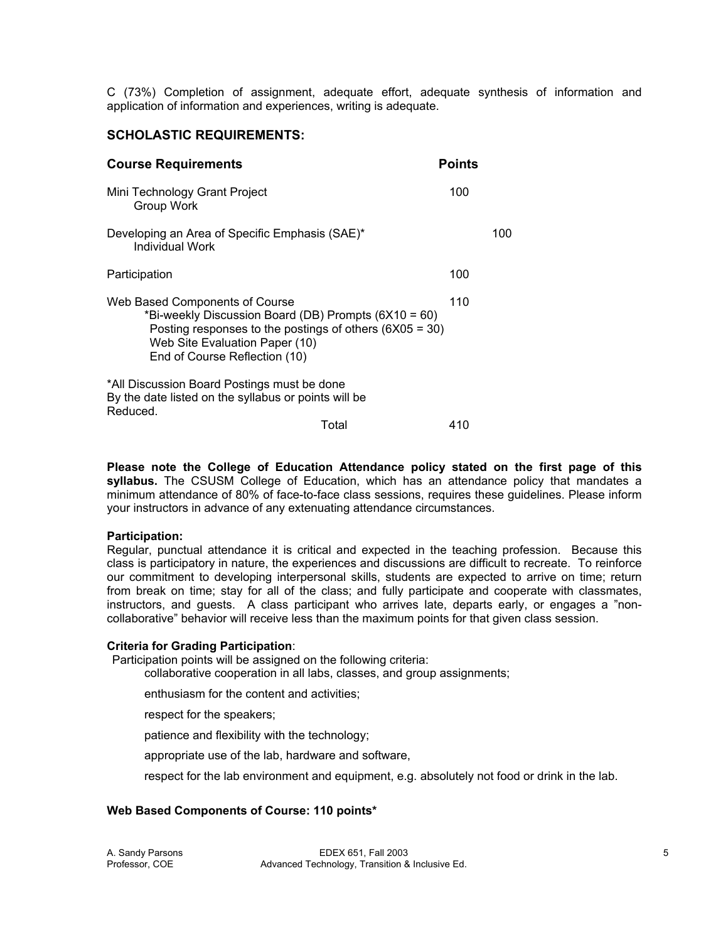C (73%) Completion of assignment, adequate effort, adequate synthesis of information and application of information and experiences, writing is adequate.

## **SCHOLASTIC REQUIREMENTS:**

| 100 |                                                                            |
|-----|----------------------------------------------------------------------------|
|     | 100                                                                        |
| 100 |                                                                            |
| 110 |                                                                            |
|     |                                                                            |
| 410 |                                                                            |
|     | <b>Points</b><br>Posting responses to the postings of others $(6X05 = 30)$ |

**Please note the College of Education Attendance policy stated on the first page of this syllabus.** The CSUSM College of Education, which has an attendance policy that mandates a minimum attendance of 80% of face-to-face class sessions, requires these guidelines. Please inform your instructors in advance of any extenuating attendance circumstances.

#### **Participation:**

Regular, punctual attendance it is critical and expected in the teaching profession. Because this class is participatory in nature, the experiences and discussions are difficult to recreate. To reinforce our commitment to developing interpersonal skills, students are expected to arrive on time; return from break on time; stay for all of the class; and fully participate and cooperate with classmates, instructors, and guests. A class participant who arrives late, departs early, or engages a "noncollaborative" behavior will receive less than the maximum points for that given class session.

#### **Criteria for Grading Participation**:

Participation points will be assigned on the following criteria:

collaborative cooperation in all labs, classes, and group assignments;

enthusiasm for the content and activities;

respect for the speakers;

patience and flexibility with the technology;

appropriate use of the lab, hardware and software,

respect for the lab environment and equipment, e.g. absolutely not food or drink in the lab.

## **Web Based Components of Course: 110 points\***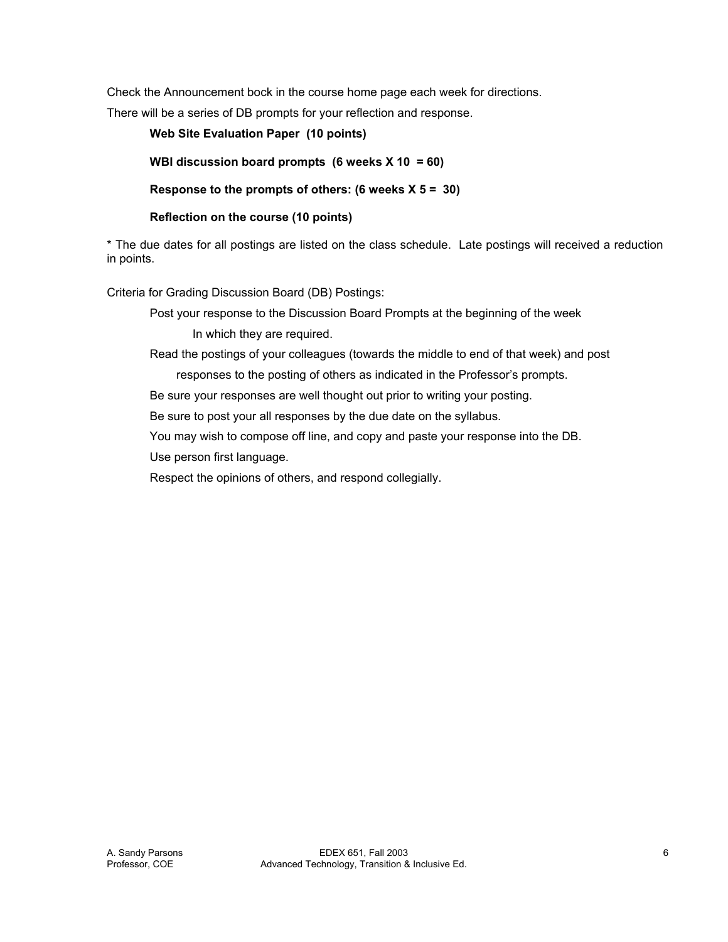Check the Announcement bock in the course home page each week for directions.

There will be a series of DB prompts for your reflection and response.

 **Web Site Evaluation Paper (10 points) WBI discussion board prompts (6 weeks X 10 = 60) Response to the prompts of others: (6 weeks X 5 = 30)** 

 **Reflection on the course (10 points)** 

\* The due dates for all postings are listed on the class schedule. Late postings will received a reduction in points.

Criteria for Grading Discussion Board (DB) Postings:

Post your response to the Discussion Board Prompts at the beginning of the week In which they are required.

Read the postings of your colleagues (towards the middle to end of that week) and post

responses to the posting of others as indicated in the Professor's prompts. Be sure your responses are well thought out prior to writing your posting.

Be sure to post your all responses by the due date on the syllabus.

You may wish to compose off line, and copy and paste your response into the DB.

Use person first language.

Respect the opinions of others, and respond collegially.